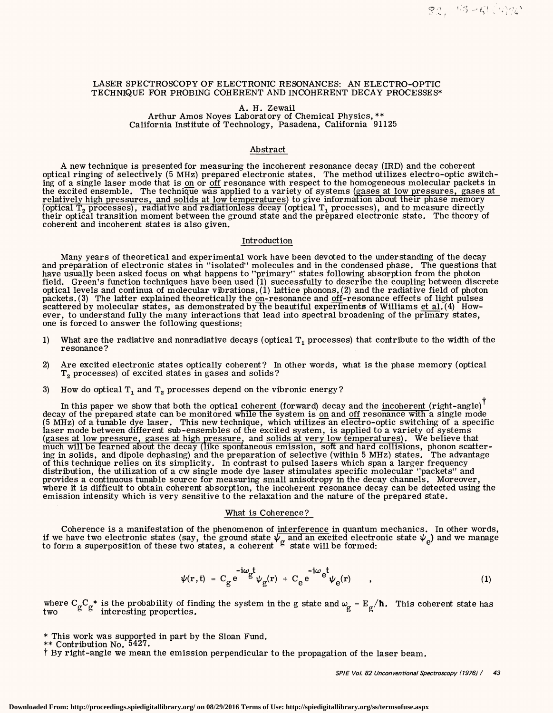## LASER SPECTROSCOPY OF ELECTRONIC RESONANCES: AN ELECTRO-OPTIC TECHNIQUE FOR PROBING COHERENT AND INCOHERENT DECAY PROCESSES\*

# A. H. Zewail

Arthur Amos Noyes Laboratory of Chemical Physics,\*\* California Institute of Technology, Pasadena, California 91125

# Abstract

A new technique is presented for measuring the incoherent resonance decay (IRD) and the coherent optical ringing of selectively (5 MHz) prepared electronic states. The method utilizes electro-optic switching of a single laser mode that is on or off resonance with respect to the homogeneous molecular packets in the excited ensemble. The technique was applied to a variety of systems (gases at low pressures, gases at relatively high pressures, and solids at low temperatures) to give information about their phase memory optical  $T_2$  processes), radiative and radiationless decay (optical  $T_1$  processes), and to measure directly their optical transition moment between the ground state and the prepared electronic state. The theory of coherent and incoherent states is also given.

## Introduction

Many years of theoretical and experimental work have been devoted to the understanding of the decay and preparation of electronic states in "isolated" molecules and in the condensed phase. The questions that have usually been asked focus on what happens to "primary" states following absorption from the photon field. Green's function techniques have been used (1) successfully to describe the coupling between discrete optical levels and continua of molecular vibrations,  $\left(1\right)$  lattice phonons,  $\left(2\right)$  and the radiative field of photon packets. (3) The latter explained theoretically the  $\overline{on}$ -resonance and  $\overline{off}$ -resonance effects of light pulses scattered by molecular states, as demonstrated by the beautiful experiments of Williams <u>et al</u>. (4) However, to understand fully the many interactions that lead into spectral broadening of the primary states, one is forced to answer the following questions:

- 1) What are the radiative and nonradiative decays (optical  $T_1$  processes) that contribute to the width of the resonance?
- 2) Are excited electronic states optically coherent? In other words, what is the phase memory (optical T<sub>2</sub> processes) of excited states in gases and solids?
- 3) How do optical  $T_1$  and  $T_2$  processes depend on the vibronic energy?

In this paper we show that both the optical <u>coherent (</u>forward) decay and the <u>incoherent (</u>right-angle)  $^{\dagger}$ decay of the prepared state can be monitored while the system is on and off resonance with a single mode (5 MHz) of a tunable dye laser. This new technique, which utilizes an electro-optic switching of a specific laser mode between different sub-ensembles of the excited system, is applied to a variety of systems (gases at low pressure, gases at high pressure, and solids at very low temperatures). We believe that much will be learned about the decay (like spontaneous emission, soft and hard collisions, phonon scattering in solids, and dipole dephasing) and the preparation of selective (within 5 MHz) states. The advantage of this technique relies on its simplicity. In contrast to pulsed lasers which span a larger frequency distribution, the utilization of a cw single mode dye laser stimulates specific molecular "packets" and provides a continuous tunable source for measuring small anisotropy in the decay channels. Moreover, where it is difficult to obtain coherent absorption, the incoherent resonance decay can be detected using the emission intensity which is very sensitive to the relaxation and the nature of the prepared state.

### What is Coherence?

Coherence is a manifestation of the phenomenon of interference in quantum mechanics. In other words, if we have two electronic states (say, the ground state  $\psi_{\alpha}$  and an excited electronic state  $\psi_{\alpha}$ ) and we manage to form a superposition of these two states, a coherent  $g$  state will be formed:  $e$ 

$$
\psi(\mathbf{r},t) = C_g e^{-i\omega} g^t \psi_g(\mathbf{r}) + C_e e^{-i\omega} e^t \psi_e(\mathbf{r}) \qquad , \qquad (1)
$$

where  $C_{\varphi}C_{\varphi}^*$  is the probability of finding the system in the g state and  $\omega_{\varphi} = E_{\varphi}/\hbar$ . This coherent state has two interesting properties. g g

- \* This work was supported in part by the Sloan Fund.
- \*\* Contribution No. 5427.

t By right-angle we mean the emission perpendicular to the propagation of the laser beam.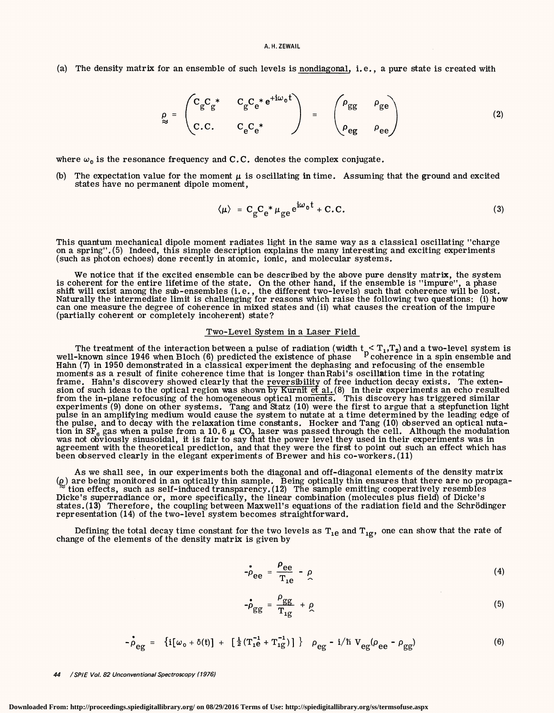(a) The density matrix for an ensemble of such levels is nondiagonal, i.e., a pure state is created with

$$
\rho_{\approx} = \begin{pmatrix} C_{g} C_{g}^{*} & C_{g} C_{e}^{*} e^{+i\omega_{0} t} \\ C.C. & C_{e} C_{e}^{*} \end{pmatrix} = \begin{pmatrix} \rho_{gg} & \rho_{ge} \\ \rho_{eg} & \rho_{ee} \end{pmatrix}
$$
(2)

where  $\omega_0$  is the resonance frequency and C.C. denotes the complex conjugate.

(b) The expectation value for the moment  $\mu$  is oscillating in time. Assuming that the ground and excited states have no permanent dipole moment,

$$
\langle \mu \rangle = C_{\rm g} C_{\rm e}^* \mu_{\rm g e} e^{i\omega_0 t} + C.C.
$$
 (3)

This quantum mechanical dipole moment radiates light in the same way as a classical oscillating "charge on a spring". (5) Indeed, this simple description explains the many interesting and exciting experiments (such as photon echoes) done recently in atomic, ionic, and molecular systems.

We notice that if the excited ensemble can be described by the above pure density matrix, the system<br>is coherent for the entire lifetime of the state. On the other hand, if the ensemble is "impure", a phase<br>shift will exis Naturally the intermediate limit is challenging for reasons which raise the following two questions: (i) how can one measure the degree of coherence in mixed states and (ii) what causes the creation of the impure<br>(partially coherent or completely incoherent) state?

### Two-Level System in a Laser Field

The treatment of the interaction between a pulse of radiation (width  $t_n < T_1, T_2$ ) and a two-level system is well-known since 1946 when Bloch (6) predicted the existence of phase  $P$  coherence in a spin ensemble and Hahn (7) in 1950 demonstrated in a classical experiment the dephasing and refocusing of the ensemble moments as a result of finite coherence time that is longer thanRabi's oscillation time in the rotating frame. Hahn's discovery showed clearly that the reversibility of free induction decay exists. The extension of such ideas to the optical region was shown by Kurnit et al. (8) In their experiments an echo resulted from the in-plane refocusing of the homogeneous optical moments. This discovery has triggered similar experiments (9) done on other systems. Tang and Statz (10) were the first to argue that a stepfunction light<br>pulse in an amplifying medium would cause the system to nutate at a time determined by the leading edge of the pulse, and to decay with the relaxation time constants. Hocker and Tang (10) observed an optical nutation in SF<sub>6</sub> gas when a pulse from a 10.6  $\mu$  CO<sub>2</sub> laser was passed through the cell. Although the modulation was not obviously sinusoidal, it is fair to say that the power level they used in their experiments was in agreement with the theoretical prediction, and that they were the first to point out such an effect which has been observed clearly in the elegant experiments of Brewer and his co-workers. (11)

As we shall see, in our experiments both the diagonal and off-diagonal elements of the density matrix (e) are being monitored in an optically thin sample. Being optically thin ensures that there are no propaga-  $\approx$  tion effects, such as self-induced transparency. (12) The sample emitting cooperatively resembles Dicke's superradiance or, more specifically, the linear combination (molecules plus field) of Dicke's states. (13) Therefore, the coupling between Maxwell's equations of the radiation field and the Schrödinger representation (14) of the two-level system becomes straightforward.

Defining the total decay time constant for the two levels as  $T_{1e}$  and  $T_{1g}$ , one can show that the rate of change of the elements of the density matrix is given by

$$
-\rho_{ee} = \frac{\rho_{ee}}{T_{1e}} - \rho \tag{4}
$$

$$
-\stackrel{\bullet}{\rho}_{gg} = \frac{\rho_{gg}}{\mathrm{T}_{1g}} + \stackrel{\bullet}{\rho} \tag{5}
$$

$$
- \stackrel{\bullet}{\rho}_{eg} = \{ i[\omega_0 + \delta(t)] + [\frac{1}{2}(T_{1e}^{-1} + T_{1g}^{-1})] \} \quad \rho_{eg} - i/\hbar \ V_{eg}(\rho_{ee} - \rho_{gg}) \tag{6}
$$

44 / SPIE Vol. 82 Unconventional Spectroscopy (1976)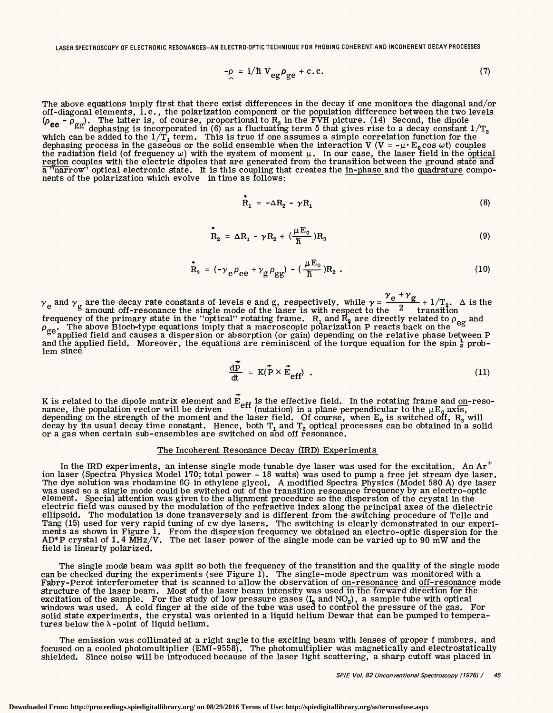LASER SPECTROSCOPY OF ELECTRONIC RESONANCES-AN ELECTRO-OPTIC TECHNIQUE FOR PROBING COHERENT AND INCOHERENT DECAY PROCESSES

$$
-\rho = i/\hbar V_{eg}\rho_{ge} + c.c.
$$
 (7)

The above equations imply first that there exist differences in the decay if one monitors the diagonal and/or off-diagonal elements, i.e., the polarization component or the population difference between the two levels ( $\rho_{ee}$  -  $\rho_{gg}$ ). The latter is, of course, proportional to R<sub>3</sub> in the FVH picture. (14) Second, the dipole dephasing is incorporated in (6) as a fluctuating term  $\delta$  that gives rise to a decay constant  $1/T_2$ which can be added to the  $1/T_1$  term. This is true if one assumes a simple correlation function for the dephasing process in the gaseous or the solid ensemble when the interaction V (V = - $\mu$  E<sub>0</sub> cos  $\omega$ t) couples the radiation field (of frequency  $\omega$ ) with the system of moment  $\mu$ . In our case, the laser field in the optical region couples with the electric dipoles that are generated from the transition between the ground state and a "narrow" optical electronic state. It is this coupling that creates the in-phase and the quadrature components of the polarization which evolve in time as follows:

$$
\mathbf{R}_1 = -\Delta \mathbf{R}_2 - \gamma \mathbf{R}_1 \tag{8}
$$

$$
\mathbf{R}_2 = \Delta \mathbf{R}_1 - \gamma \mathbf{R}_2 + \left(\frac{\mu \mathbf{E}_0}{\hbar}\right) \mathbf{R}_3 \tag{9}
$$

$$
\dot{\mathbf{R}}_3 = \left(-\gamma_e \rho_{ee} + \gamma_g \rho_{gg}\right) - \left(\frac{\mu E_0}{\hbar}\right) \mathbf{R}_2 \tag{10}
$$

 $\gamma$ <sub>e</sub> +  $\gamma$ <sub>c</sub>  $\gamma$ <sub>e</sub> and  $\gamma$ <sub>g</sub> are the decay rate constants of levels e and g, respectively, while  $\gamma = \frac{e^2 + 2}{2} + 1/T_2$ .  $\Delta$  is the  $\gamma$ <sup>e</sup> amount off-resonance the single mode of the laser is with respect to the  $\gamma$ <sup>2</sup> transit frequency of the primary state in the "optical" rotating frame.  $R_1$  and  $R_3$  are directly related to  $\rho_{\alpha\beta}$  and  $\rho_{\alpha\alpha}$ . The above Bloch-type equations imply that a macroscopic polarization P reacts back on the <sup>et</sup>  $^{\rm ge}$ applied field and causes a dispersion or absorption (or gain) depending on the relative phase between P and the applied field. Moreover, the equations are reminiscent of the torque equation for the spin  $\frac{1}{2}$  prob-<br>lem since

$$
\frac{d\vec{P}}{dt} = K(\vec{P} \times \vec{E}_{eff}) \tag{11}
$$

K is related to the dipole matrix element and  $\dot{\bar{\bf E}}_{\sf off}$  is the effective field. In the rotating frame and <u>on</u>-resonance, the population vector will be driven  $\cdot$ <sup>ell</sup> (nutation) in a plane perpendicular to the  $\mu E_0$  axis, depending on the strength of the moment and the laser field. Of course, when  $E_0$  is switched off,  $R_3$  will decay by its usual decay time constant. Hence, both  $\texttt{T}_1$  and  $\texttt{T}_2$  optical processes can be obtained in a solid or a gas when certain sub-ensembles are switched on and off resonance.

### The Incoherent Resonance Decay (IRD) Experiments

In the IRD experiments, an intense single mode tunable dye laser was used for the excitation. An  $Ar^+$ ion laser (Spectra Physics Model 170; total power = 18 watts) was used to pump a free jet stream dye laser. The dye solution was rhodamine 6G in ethylene glycol. A modified Spectra Physics (Model 580 A) dye laser was used so a single mode could be switched out of the transition resonance frequency by an electro-optic<br>element. Special attention was given to the alignment procedure so the dispersion of the crystal in the electric field was caused by the modulation of the refractive index along the principal axes of the dielectric ellipsoid. The modulation is done transversely and is different from the switching procedure of Telle and Tang (15) used for very rapid tuning of cw dye lasers. The switching is clearly demonstrated in our experiments as shown in Figure 1. From the dispersion frequency we obtained an electro-optic dispersion for the AD\*P crystal of 1.4 MHz/V. The net laser power of the single mode can be varied up to 90 mW and the field is linearly polarized.

The single mode beam was split so both the frequency of the transition and the quality of the single mode can be checked during the experiments (see Figure 1). The single-mode spectrum was monitored with a Fabry-Perot interferometer that is scanned to allow the observation of on-resonance and off-resonance mode structure of the laser beam. Most of the laser beam intensity was used in the forward direction for the excitation of the sample. For the study of low pressure gases  $(I_2 \text{ and NO}_2)$ , a sample tube with optical windows was used. A cold finger at the side of the tube was used to control the pressure of the gas. For solid state experiments, the crystal was oriented in a liquid helium Dewar that can be pumped to temperatures below the  $\lambda$ -point of liquid helium.

The emission was collimated at a right angle to the exciting beam with lenses of proper f numbers, and focused on a cooled photomultiplier (EMI-9558). The photomultiplier was magnetically and electrostatically shielded. Since noise will be introduced because of the laser light scattering, a sharp cutoff was placed in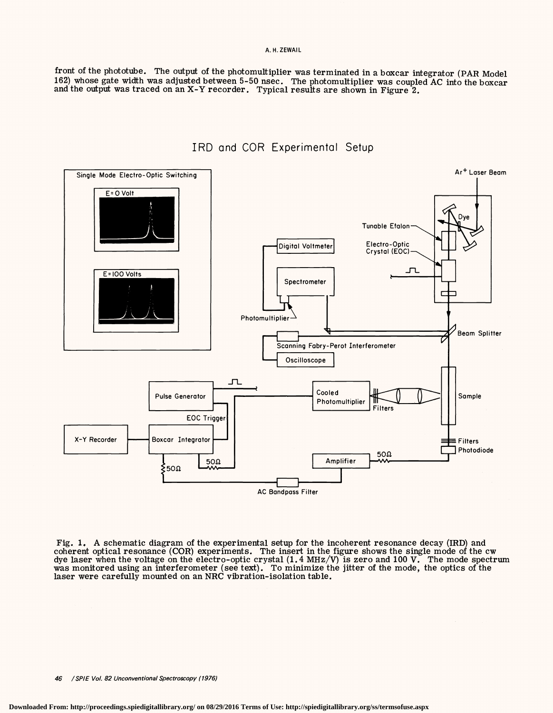## A. H.ZEWAIL

front of the phototube. The output of the photomultiplier was terminated in a boxcar integrator (PAR Model 162) whose gate width was adjusted between 5-50 nsec. The photomultiplier was coupled AC into the boxcar and the output was traced on an X-Y recorder. Typical results are shown in Figure 2.



IRD and COR Experimental Setup

Fig. 1. A schematic diagram of the experimental setup for the incoherent resonance decay (IRD) and coherent optical resonance (COR) experiments. The insert in the figure shows the single mode of the cw dye laser when the voltage on the electro-optic crystal (1.4 MHz/V) is zero and 100 V. The mode spectrum was monitored using an interferometer (see text). To minimize the jitter of the mode, the optics of the laser were carefully mounted on an NRC vibration-isolation table.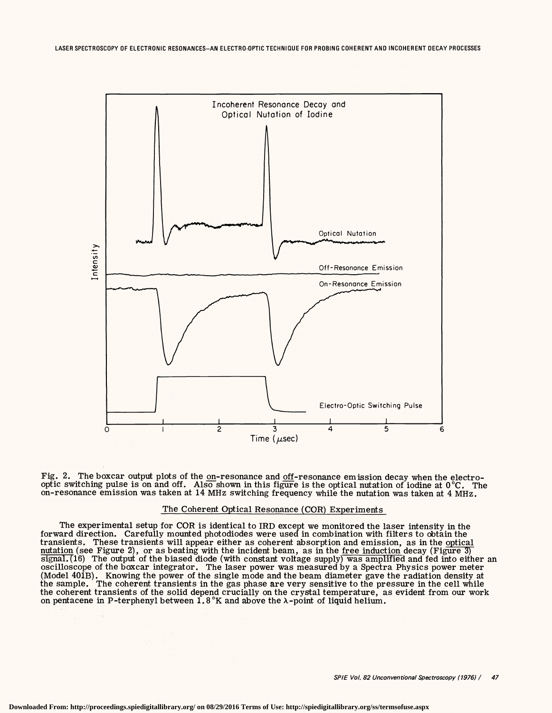

Fig. 2. The boxcar output plots of the on-resonance and off-resonance emission decay when the electrooptic switching pulse is on and off. Also shown in this figure is the optical nutation of iodine at 0 °C. The on-resonance emission was taken at 14 MHz switching frequency while the nutation was taken at 4 MHz.

## The Coherent Optical Resonance (COR) Experiments

The experimental setup for COR is identical to IRD except we monitored the laser intensity in the forward direction. Carefully mounted photodiodes were used in combination with filters to obtain the transients. These transients will appear either as coherent absorption and emission, as in the <u>optical nutation</u> (see Figure 3)<br><u>nutation</u> (see Figure 2), or as beating with the incident beam, as in the <u>free induction</u> d  $signal. (16)$  The output of the biased diode (with constant voltage supply) was amplified and fed into either an oscilloscope of the boxcar integrator. The laser power was measured by a Spectra Physics power meter (Model 401B). Knowing the power of the single mode and the beam diameter gave the radiation density at the sample. The coherent transients in the gas phase are very sensitive to the pressure in the cell while the coherent transients of the solid depend crucially on the crystal temperature, as evident from our work on pentacene in P-terphenyl between  $1.8\,^{\circ}\text{K}$  and above the  $\lambda$ -point of liquid helium.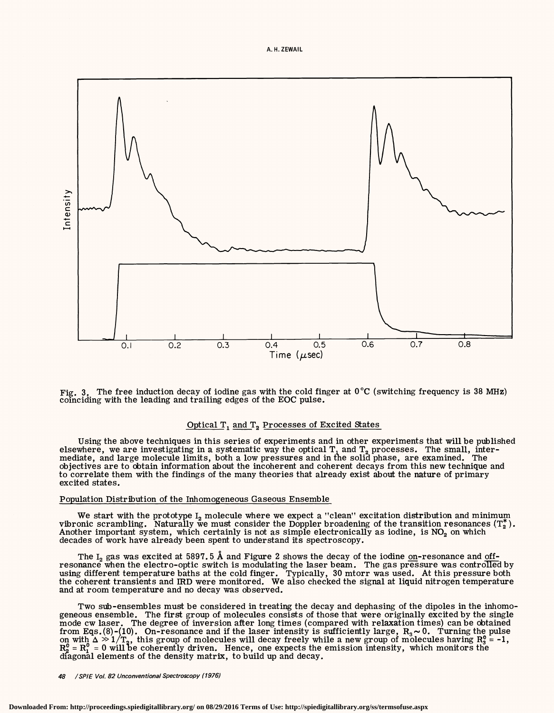

Fig. 3. The free induction decay of iodine gas with the cold finger at 0°C (switching frequency is 38 MHz) comciding with the leading and trailing edges of the EOC pulse.

## Optical T, and T, Processes of Excited States

Using the above techniques in this series of experiments and in other experiments that will be published elsewhere, we are investigating in a systematic way the optical  $\texttt{T}_\texttt{1}$  and  $\texttt{T}_\texttt{2}$  processes. The small, intermediate, and large molecule limits, both a low pressures and in the solid phase, are examined. The objectives are to obtain information about the incoherent and coherent decays from this new technique and to correlate them with the findings of the many theories that already exist about the nature of primary excited states.

### Population Distribution of the Inhomogeneous Gaseous Ensemble

We start with the prototype  $I_2$  molecule where we expect a "clean" excitation distribution and minimum vibronic scrambling. Naturally we must consider the Doppler broadening of the transition resonances  $(T_2^*)$ . Another important system, which certainly is not as simple electronically as iodine, is  $NO<sub>2</sub>$  on which decades of work have already been spent to understand its spectroscopy.

The I<sub>2</sub> gas was excited at 5897.5 Å and Figure 2 shows the decay of the iodine <u>on</u>-resonance and <u>off</u>resonance when the electro-optic switch is modulating the laser beam. The gas pressure was controlled by using different temperature baths at the cold finger. Typically, 30 mtorr was used. At this pressure both the coherent transients and IRD were monitored. We also checked the signal at liquid nitrogen temperature and at room temperature and no decay was observed.

Two sub-ensembles must be considered in treating the decay and dephasing of the dipoles in the inhomogeneous ensemble. The first group of molecules consists of those that were originally excited by the single mode cw laser. The degree of inversion after long times (compared with relaxation times) can be obtained from Eqs. (8)-(10). On-resonance and if the laser intensity is sufficiently large,  $R_3 \sim 0$ . Turning the pulse on with  $\Delta \gg 1/T_2$ , this group of molecules will decay freely while a new group of molecules having R<sub>3</sub> = -1,  $R_2^0 = R_1^0 = 0$  will be coherently driven. Hence, one expects the emission intensity, which monitors the diagonal elements of the density matrix, to build up and decay.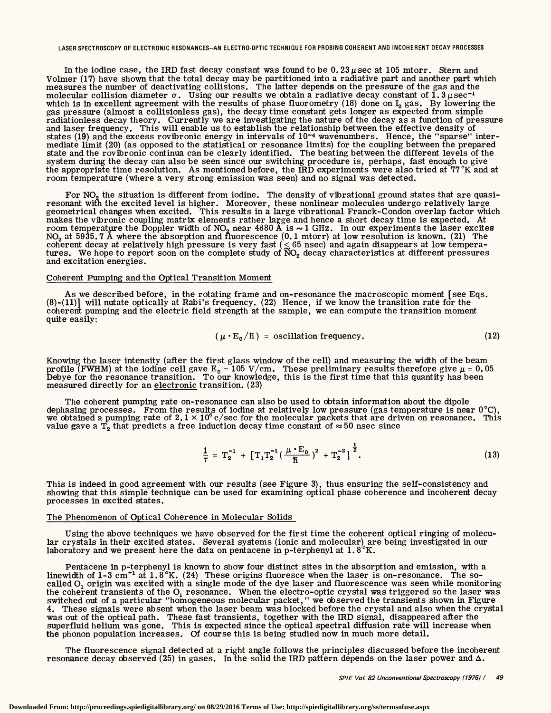#### LASER SPECTROSCOPY OF ELECTRONIC RESONANCES-AN ELECTRO-OPTIC TECHNIQUE FOR PROBING COHERENT ANO INCOHERENT DECAY PROCESSES

In the iodine case, the IRD fast decay constant was found to be  $0.23 \mu \text{sec at } 105 \text{ mtorr}$ . Stern and Volmer {17) have shown that the total decay may be partitioned into a radiative part and another part which measures the number of deactivating collisions. The latter depends on the pressure of the gas and the molecular collision diameter  $\sigma$ . Using our results we obtain a radiative decay constant of  $1.3 \mu$ sec<sup>-1</sup> which is in excellent agreement with the results of phase fluorometry (18) done on  $I_2$  gas. By lowering the gas pressure (almost a collisionless gas), the decay time constant gets longer as expected from simple radiationless decay theory. Currently we are investigating the nature of the decay as a function of pressure and laser states (19) and the excess rovibronic energy in intervals of 10<sup>-4</sup> wavenumbers. Hence, the "sparse" intermediate limit {20) (as opposed to the statistical or resonance limits) for the coupling between the prepared state and the rovibronic continua can be clearly identified. The beating between the different levels of the system during the decay can also be seen since our switching procedure is, perhaps, fast enough to give the appropriate time resolution. As mentioned before, the IRD experiments were also tried at 77°K and at room temperature (where a very strong emission was seen) and no signal was detected.

For  $NO<sub>2</sub>$  the situation is different from iodine. The density of vibrational ground states that are quasiresonant with the excited level is higher. Moreover, these nonlinear molecules undergo relatively large<br>geometrical changes when excited. This results in a large vibrational Franck-Condon overlap factor which makes the vibronic coupling matrix elements rather large and hence a short decay time is expected. At room temperature the Doppler width of NO<sub>2</sub> near 4880  $\AA$  is  $\sim$  1 GHz. In our experiments the laser excites  $NO<sub>2</sub>$  at 5935.7 Å where the absorption and fluorescence (0.1 mtorr) at low resolution is known. (21) The coherent decay at relatively high pressure is very fast  $(\leq 65$  nsec) and again disappears at low temperatures. We hope to report soon on the complete study of  $\rm \tilde{N}O_{2}$  decay characteristics at different pressures and excitation energies.

## Coherent Pumping and the Optical Transition Moment

As we described before, in the rotating frame and on-resonance the macroscopic moment [see Eqs.  $(8)-(11)$ ] will nutate optically at Rabi's frequency.  $(22)$  Hence, if we know the transition rate for the coherent pumping and the electric field strength at the sample, we can compute the transition moment quite easily:

$$
(\mu \cdot E_0/\hbar) = oscillation frequency.
$$
 (12)

Knowing the laser intensity {after the first glass window of the cell) and measuring the width of the beam profile (FWHM) at the iodine cell gave  $E_0 = 105$  V/cm. These preliminary results therefore give  $\mu = 0.05$ Debye for the resonance transition. To our knowledge, this is the first time that this quantity has been measured directly for an electronic transition. (23)

The coherent pumping rate on-resonance can also be used to obtain information about the dipole dephasing processes. From the results of iodine at relatively low pressure (gas temperature is near  $0^{\circ}C$ ), we obtained a pumping rate of  $2.1 \times 10^6$  c/sec for the molecular packets that are driven on resonance. This value gave a T<sub>2</sub> that predicts a free induction decay time constant of  $\approx$  50 nsec since

$$
\frac{1}{\tau} = T_2^{-1} + \left[ T_1 T_2^{-1} \left( \frac{\mu \cdot E_0}{\hbar} \right)^2 + T_2^{-2} \right]^{\frac{1}{2}}.
$$
\n(13)

This is indeed in good agreement with our results (see Figure 3), thus ensuring the self-consistency and showing that this simple technique can be used for examining optical phase coherence and incoherent decay processes in excited states.

### The Phenomenon of Optical Coherence in Molecular Solids

Using the above techniques we have observed for the first time the coherent optical ringing of molecular crystals in their excited states. Several systems {ionic and molecular) are being investigated in our laboratory and we present here the data on pentacene in p-terphenyl at  $1.8^{\circ}$ K.

Pentacene in p-terphenyl is known to show four distinct sites in the absorption and emission, with a linewidth of 1-3 cm<sup>-1</sup> at 1.8°K. (24) These origins fluoresce when the laser is on-resonance. The socalled  $O_1$  origin was excited with a single mode of the dye laser and fluorescence was seen while monitoring the coherent transients of the  $O<sub>1</sub>$  resonance. When the electro-optic crystal was triggered so the laser was switched out of a particular "homogeneous molecular packet," we observed the transients shown in Figure 4. These signals were absent when the laser beam was blocked before the crystal and also when the crystal was out of the optical path. These fast transients, together with the IRD signal, disappeared after the superfluid helium was gone. This is expected since the optical spectral diffusion rate will increase when the phonon population increases. Of course this is being studied now in much more detail.

The fluorescence signal detected at a right angle follows the principles discussed before the incoherent resonance decay observed (25) in gases. In the solid the IRD pattern depends on the laser power and  $\Delta$ .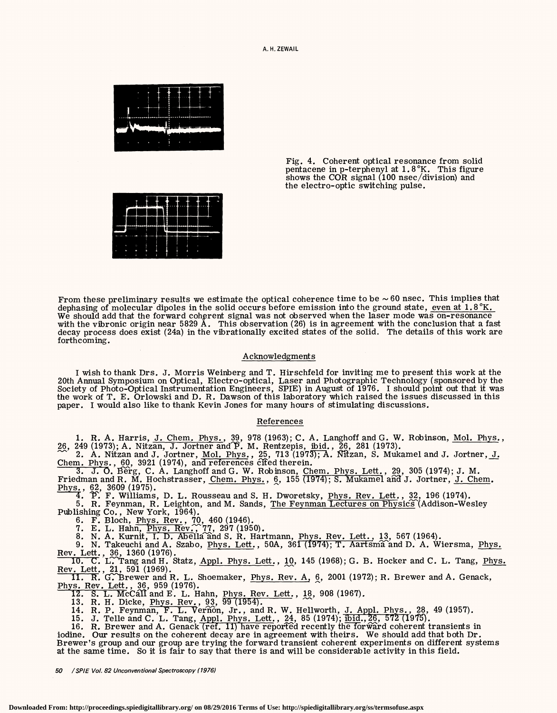A. H.ZEWAIL



Fig. 4. Coherent optical resonance from solid pentacene in p-terphenyl at  $1.8\,^{\circ}\text{K}$ . This figure shows the COR signal (100 nsec/division) and the electro-optic switching pulse.



From these preliminary results we estimate the optical coherence time to be  $\sim 60$  nsec. This implies that dephasing of molecular dipoles in the solid occurs before emission into the ground state, even at 1.8  $K$ . We should add that the forward coherent signal was not observed when the laser mode was on-resonance with the vibronic origin near 5829 A. This observation (26) is in agreement with the conclusion that a fast decay process does exist (24a) in the vibrationally excited states of the solid. The details of this work are forthcoming.

## Acknowledgments

I wish to thank Drs. J. Morris Weinberg and T. Hirschfeld for inviting me to present this work at the 20th Annual Symposium on Optical, Electro-optical, Laser and Photographic Technology (sponsored by the Society of Photo-Optical Instrumentation Engineers, SPIE) in August of 1976. I should point out that it was the work of T. E. Orlowski and D. R. Dawson of this laboratory which raised the issues discussed in this paper. I would also like to thank Kevin Jones for many hours of stimulating discussions.

# References

1. R. A. Harris, J. Chem. Phys., 39, 978 (1963); C. A. Langhoff and G. W. Robinson, Mol. Phys., 26, 249 (1973); A. Nitzan, J. Jortner and P. M. Rentzepis, ibid., 26, 281 (1973).

 $\sim$  2. A. Nitzan and J. Jortner, Mol. Phys., 25, 713 (1973); A. Nitzan, S. Mukamel and J. Jortner, J. Chem. Phys., 60, 3921 (1974), and references Cited therein.

 $\overline{3. J. O}$ . Berg, C. A. Langhoff and G. W. Robinson, Chem. Phys. Lett., 29, 305 (1974); J. M.

Friedman and R. M. Hochstrasser, Chem. Phys., 6, 155 (1974); S. Mukamel and J. Jortner, J. Chem. Phys., 62, 3609 (1975).<br>4. P. F. Williams, D. L. Rousseau and S. H. Dworetsky, Phys. Rev. Lett., 32, 196 (1974).

5. R. Feynman, R. Leighton, and M. Sands, The Feynman Lectures on Physics (Addison-Wesley Publishing Co. , New York, 1964).

6. F. Bloch, Phys. Rev., 70, 460 (1946).

7. E. L. Hahn, Phys.  $\text{Rev.}$  77, 297 (1950).

8. N. A. Kurnit, I. D. Abella and S. R. Hartmann, Phys. Rev. Lett., 13, 567 (1964).

9. N. Takeuchi and A. Szabo, <u>Phys. Lett.,</u> 50A, 361 (1974); T. Aartsma and D. A. Wiersma, <u>Phys.</u> Rev. Lett., 36, 1360 (1976).

10. C. L. Tang and H. Statz, Appl. Phys. Lett., 10, 145 (1968); G. B. Hocker and C. L. Tang, Phys.

Rev. Lett., 21, 591 (1969).  $\overline{11. R}$ . G. Brewer and R. L. Shoemaker, Phys. Rev. A, 6, 2001 (1972); R. Brewer and A. Genack, Phys. Rev. Lett., 36, 959 (1976).<br>
12. S. L. McCall and E. L. Hahn, Phys. Rev. Lett., 18, 908 (1967).

13. R. H. Dicke, Phys. Rev., 93, 99 (1954).<br>14. R. P. Feynman, F. L. Vernon, Jr., and R. W. Hellworth, <u>J. Appl. Phys., 28,</u> 49 (1957).

15. J. Telle and C. L. Tang, Appl. Phys. Lett., 24, 85 (1974);  $\overline{ibid.}$ ,  $\overline{26}$ , 572 (1975).

16. R. Brewer and A. Genack (ref. 11) have reported recently the forward coherent transients in iodine. Our results on the coherent decay are in agreement with theirs. We should add that both Dr. Brewer's group and our group are trying the forward transient coherent experiments on different systems at the same time. So it is fair to say that there is and will be considerable activity in this field.

*50 I SPIE Vol. 82 Unconventional Spectroscopy (1976)*